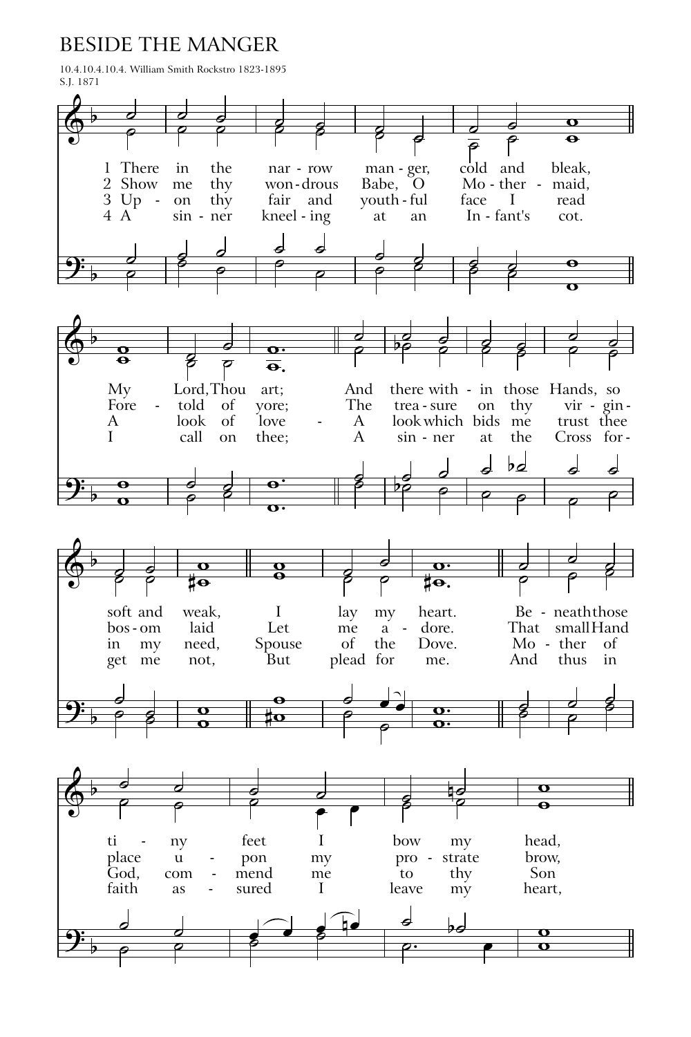## BESIDE THE MANGER

10.4.10.4.10.4. William Smith Rockstro 1823-1895 S.J. 1871